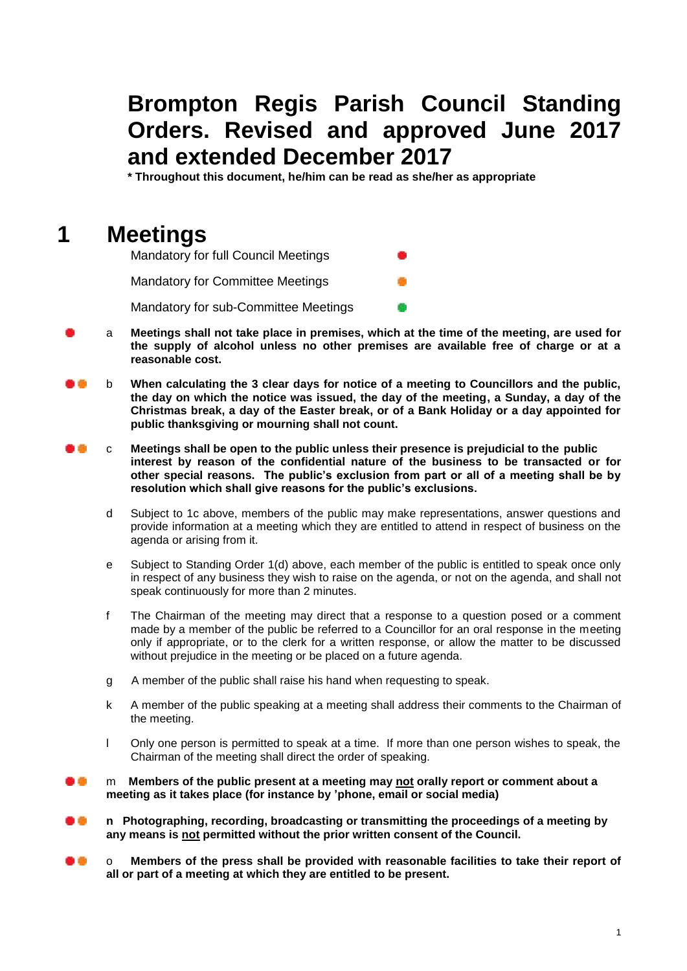## **Brompton Regis Parish Council Standing Orders. Revised and approved June 2017 and extended December 2017**

**\* Throughout this document, he/him can be read as she/her as appropriate**

## **1 Meetings**

| <b>Mandatory for full Council Meetings</b> | œ          |
|--------------------------------------------|------------|
| <b>Mandatory for Committee Meetings</b>    | <b>STA</b> |
| Mandatory for sub-Committee Meetings       | œ          |

- a **Meetings shall not take place in premises, which at the time of the meeting, are used for the supply of alcohol unless no other premises are available free of charge or at a reasonable cost.**
- de dia b **When calculating the 3 clear days for notice of a meeting to Councillors and the public, the day on which the notice was issued, the day of the meeting, a Sunday, a day of the Christmas break, a day of the Easter break, or of a Bank Holiday or a day appointed for public thanksgiving or mourning shall not count.**
- c **Meetings shall be open to the public unless their presence is prejudicial to the public interest by reason of the confidential nature of the business to be transacted or for other special reasons. The public's exclusion from part or all of a meeting shall be by resolution which shall give reasons for the public's exclusions.**
	- d Subject to 1c above, members of the public may make representations, answer questions and provide information at a meeting which they are entitled to attend in respect of business on the agenda or arising from it.
	- e Subject to Standing Order 1(d) above, each member of the public is entitled to speak once only in respect of any business they wish to raise on the agenda, or not on the agenda, and shall not speak continuously for more than 2 minutes.
	- f The Chairman of the meeting may direct that a response to a question posed or a comment made by a member of the public be referred to a Councillor for an oral response in the meeting only if appropriate, or to the clerk for a written response, or allow the matter to be discussed without prejudice in the meeting or be placed on a future agenda.
	- g A member of the public shall raise his hand when requesting to speak.
	- k A member of the public speaking at a meeting shall address their comments to the Chairman of the meeting.
	- l Only one person is permitted to speak at a time. If more than one person wishes to speak, the Chairman of the meeting shall direct the order of speaking.

#### m **Members of the public present at a meeting may not orally report or comment about a meeting as it takes place (for instance by 'phone, email or social media)**

- **n Photographing, recording, broadcasting or transmitting the proceedings of a meeting by any means is not permitted without the prior written consent of the Council.**
- o **Members of the press shall be provided with reasonable facilities to take their report of all or part of a meeting at which they are entitled to be present.**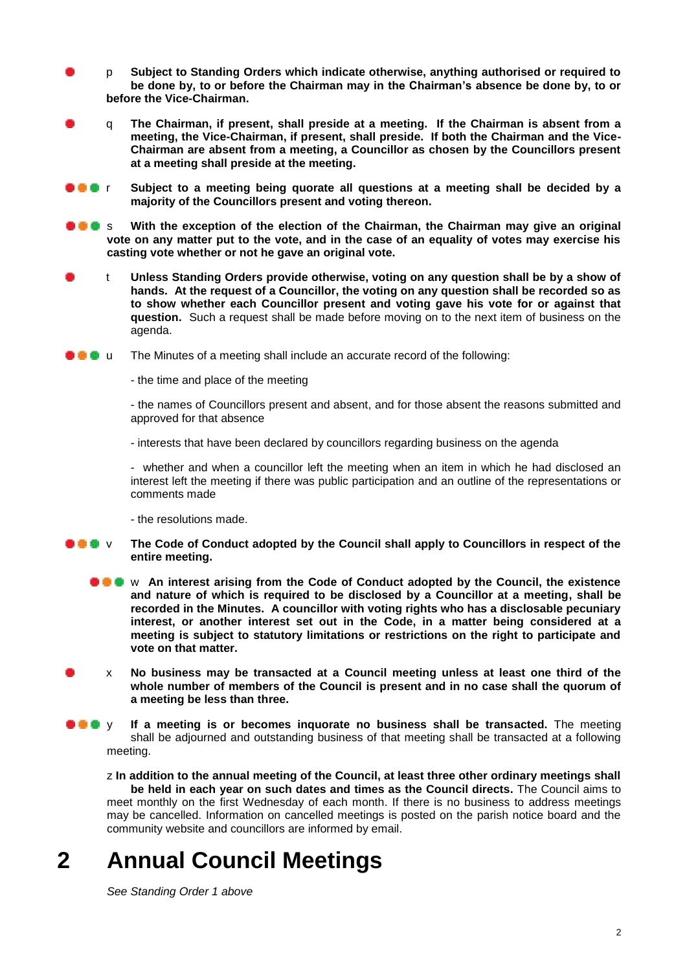- p **Subject to Standing Orders which indicate otherwise, anything authorised or required to be done by, to or before the Chairman may in the Chairman's absence be done by, to or before the Vice-Chairman.**
- q **The Chairman, if present, shall preside at a meeting. If the Chairman is absent from a meeting, the Vice-Chairman, if present, shall preside. If both the Chairman and the Vice-Chairman are absent from a meeting, a Councillor as chosen by the Councillors present at a meeting shall preside at the meeting.**
- **<b>F I Subject to a meeting being quorate all questions at a meeting shall be decided by a majority of the Councillors present and voting thereon.**
- **S** S With the exception of the election of the Chairman, the Chairman may give an original **vote on any matter put to the vote, and in the case of an equality of votes may exercise his casting vote whether or not he gave an original vote.**
- t **Unless Standing Orders provide otherwise, voting on any question shall be by a show of hands. At the request of a Councillor, the voting on any question shall be recorded so as to show whether each Councillor present and voting gave his vote for or against that question.** Such a request shall be made before moving on to the next item of business on the agenda.
- **u u** The Minutes of a meeting shall include an accurate record of the following:
	- the time and place of the meeting

- the names of Councillors present and absent, and for those absent the reasons submitted and approved for that absence

- interests that have been declared by councillors regarding business on the agenda

- whether and when a councillor left the meeting when an item in which he had disclosed an interest left the meeting if there was public participation and an outline of the representations or comments made

- the resolutions made.

- **<b>The V** The Code of Conduct adopted by the Council shall apply to Councillors in respect of the **entire meeting.**
	- **A C** w An interest arising from the Code of Conduct adopted by the Council, the existence **and nature of which is required to be disclosed by a Councillor at a meeting, shall be recorded in the Minutes. A councillor with voting rights who has a disclosable pecuniary interest, or another interest set out in the Code, in a matter being considered at a meeting is subject to statutory limitations or restrictions on the right to participate and vote on that matter.**
- x **No business may be transacted at a Council meeting unless at least one third of the whole number of members of the Council is present and in no case shall the quorum of a meeting be less than three.**
- **C**  $\bullet$  y If a meeting is or becomes inquorate no business shall be transacted. The meeting shall be adjourned and outstanding business of that meeting shall be transacted at a following meeting.

z **In addition to the annual meeting of the Council, at least three other ordinary meetings shall be held in each year on such dates and times as the Council directs.** The Council aims to meet monthly on the first Wednesday of each month. If there is no business to address meetings may be cancelled. Information on cancelled meetings is posted on the parish notice board and the community website and councillors are informed by email.

# **2 Annual Council Meetings**

*See Standing Order 1 above*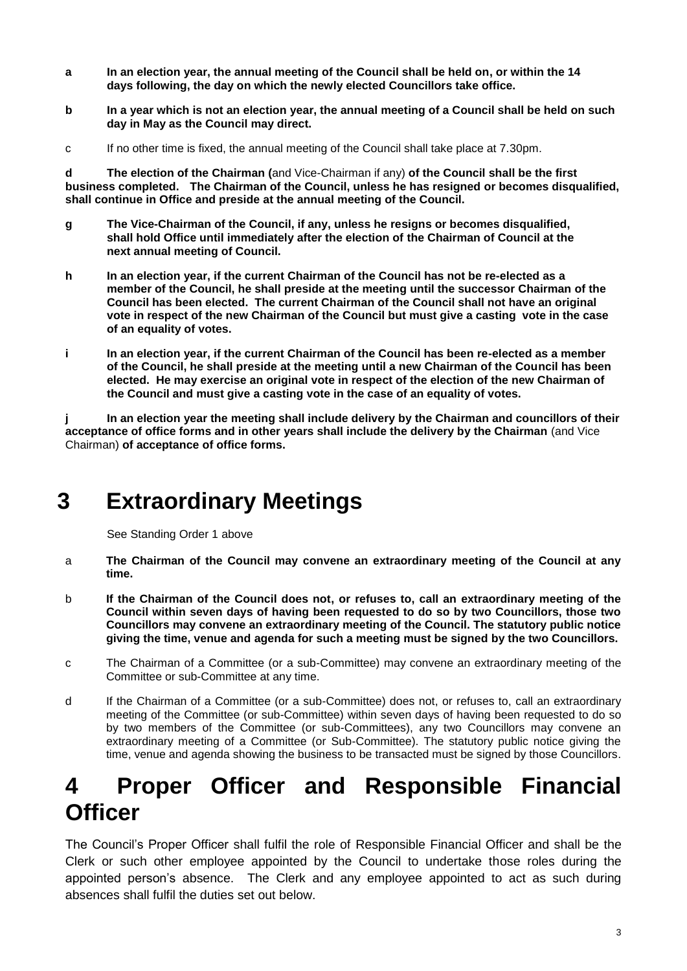- **a In an election year, the annual meeting of the Council shall be held on, or within the 14 days following, the day on which the newly elected Councillors take office.**
- **b In a year which is not an election year, the annual meeting of a Council shall be held on such day in May as the Council may direct.**
- c If no other time is fixed, the annual meeting of the Council shall take place at 7.30pm.

**d The election of the Chairman (**and Vice-Chairman if any) **of the Council shall be the first business completed. The Chairman of the Council, unless he has resigned or becomes disqualified, shall continue in Office and preside at the annual meeting of the Council.**

- **g The Vice-Chairman of the Council, if any, unless he resigns or becomes disqualified, shall hold Office until immediately after the election of the Chairman of Council at the next annual meeting of Council.**
- **h In an election year, if the current Chairman of the Council has not be re-elected as a member of the Council, he shall preside at the meeting until the successor Chairman of the Council has been elected. The current Chairman of the Council shall not have an original vote in respect of the new Chairman of the Council but must give a casting vote in the case of an equality of votes.**
- **i In an election year, if the current Chairman of the Council has been re-elected as a member of the Council, he shall preside at the meeting until a new Chairman of the Council has been elected. He may exercise an original vote in respect of the election of the new Chairman of the Council and must give a casting vote in the case of an equality of votes.**

**j In an election year the meeting shall include delivery by the Chairman and councillors of their acceptance of office forms and in other years shall include the delivery by the Chairman** (and Vice Chairman) **of acceptance of office forms.** 

# **3 Extraordinary Meetings**

See Standing Order 1 above

- a **The Chairman of the Council may convene an extraordinary meeting of the Council at any time.**
- b **If the Chairman of the Council does not, or refuses to, call an extraordinary meeting of the Council within seven days of having been requested to do so by two Councillors, those two Councillors may convene an extraordinary meeting of the Council. The statutory public notice giving the time, venue and agenda for such a meeting must be signed by the two Councillors.**
- c The Chairman of a Committee (or a sub-Committee) may convene an extraordinary meeting of the Committee or sub-Committee at any time.
- d If the Chairman of a Committee (or a sub-Committee) does not, or refuses to, call an extraordinary meeting of the Committee (or sub-Committee) within seven days of having been requested to do so by two members of the Committee (or sub-Committees), any two Councillors may convene an extraordinary meeting of a Committee (or Sub-Committee). The statutory public notice giving the time, venue and agenda showing the business to be transacted must be signed by those Councillors.

# **4 Proper Officer and Responsible Financial Officer**

The Council's Proper Officer shall fulfil the role of Responsible Financial Officer and shall be the Clerk or such other employee appointed by the Council to undertake those roles during the appointed person's absence. The Clerk and any employee appointed to act as such during absences shall fulfil the duties set out below.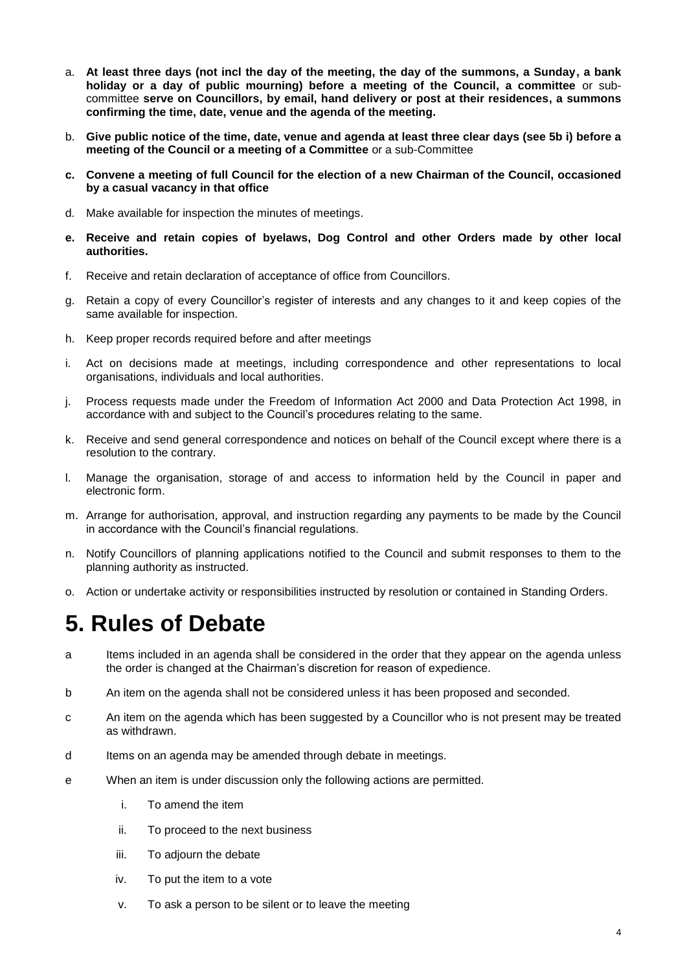- a. **At least three days (not incl the day of the meeting, the day of the summons, a Sunday, a bank holiday or a day of public mourning) before a meeting of the Council, a committee** or subcommittee **serve on Councillors, by email, hand delivery or post at their residences, a summons confirming the time, date, venue and the agenda of the meeting.**
- b. **Give public notice of the time, date, venue and agenda at least three clear days (see 5b i) before a meeting of the Council or a meeting of a Committee** or a sub-Committee
- **c. Convene a meeting of full Council for the election of a new Chairman of the Council, occasioned by a casual vacancy in that office**
- d. Make available for inspection the minutes of meetings.
- **e. Receive and retain copies of byelaws, Dog Control and other Orders made by other local authorities.**
- f. Receive and retain declaration of acceptance of office from Councillors.
- g. Retain a copy of every Councillor's register of interests and any changes to it and keep copies of the same available for inspection.
- h. Keep proper records required before and after meetings
- i. Act on decisions made at meetings, including correspondence and other representations to local organisations, individuals and local authorities.
- j. Process requests made under the Freedom of Information Act 2000 and Data Protection Act 1998, in accordance with and subject to the Council's procedures relating to the same.
- k. Receive and send general correspondence and notices on behalf of the Council except where there is a resolution to the contrary.
- l. Manage the organisation, storage of and access to information held by the Council in paper and electronic form.
- m. Arrange for authorisation, approval, and instruction regarding any payments to be made by the Council in accordance with the Council's financial regulations.
- n. Notify Councillors of planning applications notified to the Council and submit responses to them to the planning authority as instructed.
- o. Action or undertake activity or responsibilities instructed by resolution or contained in Standing Orders.

# **5. Rules of Debate**

- a Items included in an agenda shall be considered in the order that they appear on the agenda unless the order is changed at the Chairman's discretion for reason of expedience.
- b An item on the agenda shall not be considered unless it has been proposed and seconded.
- c An item on the agenda which has been suggested by a Councillor who is not present may be treated as withdrawn.
- d Items on an agenda may be amended through debate in meetings.
- e When an item is under discussion only the following actions are permitted.
	- i. To amend the item
	- ii. To proceed to the next business
	- iii. To adjourn the debate
	- iv. To put the item to a vote
	- v. To ask a person to be silent or to leave the meeting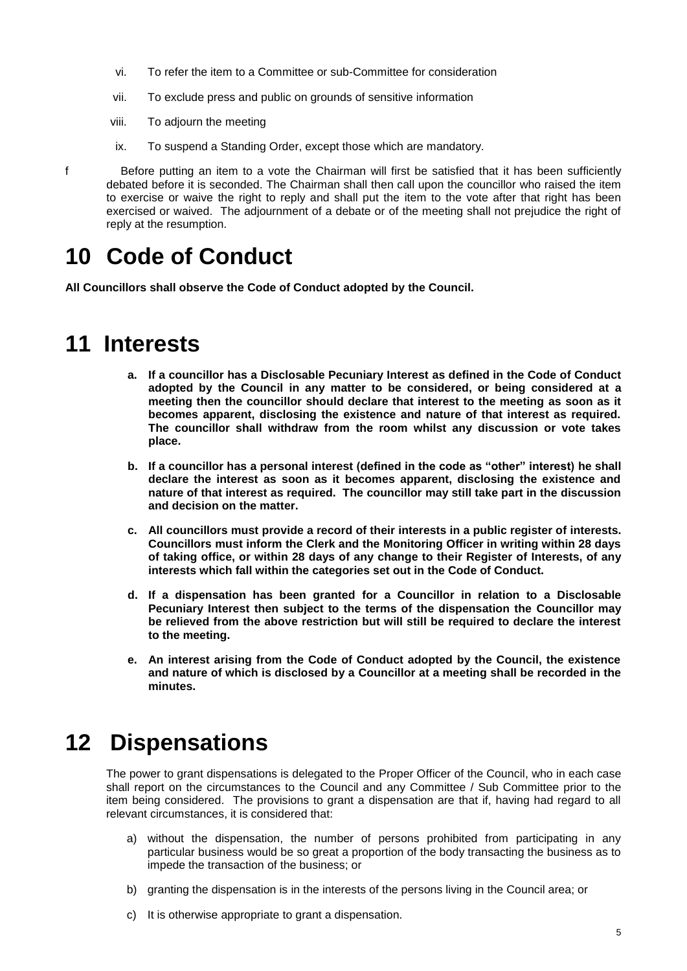- vi. To refer the item to a Committee or sub-Committee for consideration
- vii. To exclude press and public on grounds of sensitive information
- viii. To adjourn the meeting
- ix. To suspend a Standing Order, except those which are mandatory.

f Before putting an item to a vote the Chairman will first be satisfied that it has been sufficiently debated before it is seconded. The Chairman shall then call upon the councillor who raised the item to exercise or waive the right to reply and shall put the item to the vote after that right has been exercised or waived. The adjournment of a debate or of the meeting shall not prejudice the right of reply at the resumption.

## **10 Code of Conduct**

**All Councillors shall observe the Code of Conduct adopted by the Council.**

### **11 Interests**

- **a. If a councillor has a Disclosable Pecuniary Interest as defined in the Code of Conduct adopted by the Council in any matter to be considered, or being considered at a meeting then the councillor should declare that interest to the meeting as soon as it becomes apparent, disclosing the existence and nature of that interest as required. The councillor shall withdraw from the room whilst any discussion or vote takes place.**
- **b. If a councillor has a personal interest (defined in the code as "other" interest) he shall declare the interest as soon as it becomes apparent, disclosing the existence and nature of that interest as required. The councillor may still take part in the discussion and decision on the matter.**
- **c. All councillors must provide a record of their interests in a public register of interests. Councillors must inform the Clerk and the Monitoring Officer in writing within 28 days of taking office, or within 28 days of any change to their Register of Interests, of any interests which fall within the categories set out in the Code of Conduct.**
- **d. If a dispensation has been granted for a Councillor in relation to a Disclosable Pecuniary Interest then subject to the terms of the dispensation the Councillor may be relieved from the above restriction but will still be required to declare the interest to the meeting.**
- **e. An interest arising from the Code of Conduct adopted by the Council, the existence and nature of which is disclosed by a Councillor at a meeting shall be recorded in the minutes.**

## **12 Dispensations**

The power to grant dispensations is delegated to the Proper Officer of the Council, who in each case shall report on the circumstances to the Council and any Committee / Sub Committee prior to the item being considered. The provisions to grant a dispensation are that if, having had regard to all relevant circumstances, it is considered that:

- a) without the dispensation, the number of persons prohibited from participating in any particular business would be so great a proportion of the body transacting the business as to impede the transaction of the business; or
- b) granting the dispensation is in the interests of the persons living in the Council area; or
- c) It is otherwise appropriate to grant a dispensation.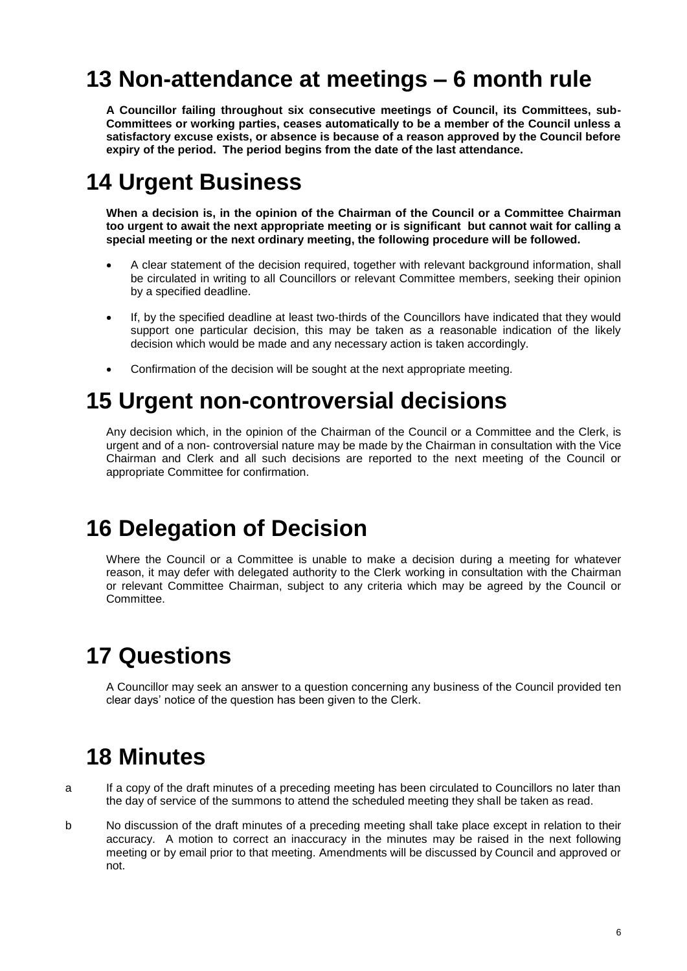# **13 Non-attendance at meetings – 6 month rule**

**A Councillor failing throughout six consecutive meetings of Council, its Committees, sub-Committees or working parties, ceases automatically to be a member of the Council unless a satisfactory excuse exists, or absence is because of a reason approved by the Council before expiry of the period. The period begins from the date of the last attendance.**

## **14 Urgent Business**

**When a decision is, in the opinion of the Chairman of the Council or a Committee Chairman too urgent to await the next appropriate meeting or is significant but cannot wait for calling a special meeting or the next ordinary meeting, the following procedure will be followed.**

- A clear statement of the decision required, together with relevant background information, shall be circulated in writing to all Councillors or relevant Committee members, seeking their opinion by a specified deadline.
- If, by the specified deadline at least two-thirds of the Councillors have indicated that they would support one particular decision, this may be taken as a reasonable indication of the likely decision which would be made and any necessary action is taken accordingly.
- Confirmation of the decision will be sought at the next appropriate meeting.

# **15 Urgent non-controversial decisions**

Any decision which, in the opinion of the Chairman of the Council or a Committee and the Clerk, is urgent and of a non- controversial nature may be made by the Chairman in consultation with the Vice Chairman and Clerk and all such decisions are reported to the next meeting of the Council or appropriate Committee for confirmation.

## **16 Delegation of Decision**

Where the Council or a Committee is unable to make a decision during a meeting for whatever reason, it may defer with delegated authority to the Clerk working in consultation with the Chairman or relevant Committee Chairman, subject to any criteria which may be agreed by the Council or Committee.

# **17 Questions**

A Councillor may seek an answer to a question concerning any business of the Council provided ten clear days' notice of the question has been given to the Clerk.

## **18 Minutes**

- a If a copy of the draft minutes of a preceding meeting has been circulated to Councillors no later than the day of service of the summons to attend the scheduled meeting they shall be taken as read.
- b No discussion of the draft minutes of a preceding meeting shall take place except in relation to their accuracy. A motion to correct an inaccuracy in the minutes may be raised in the next following meeting or by email prior to that meeting. Amendments will be discussed by Council and approved or not.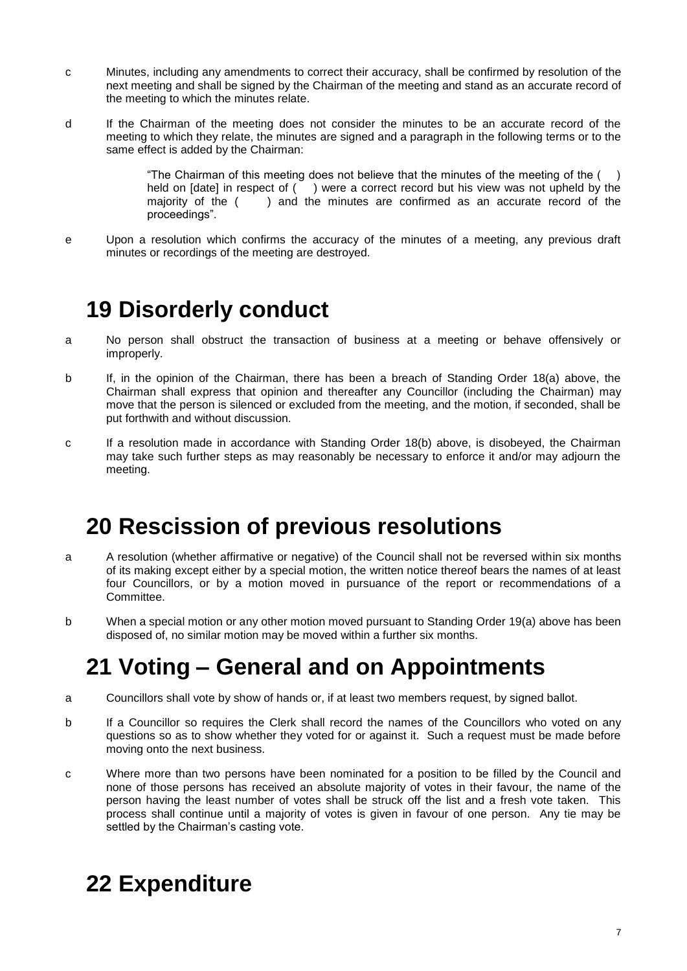- c Minutes, including any amendments to correct their accuracy, shall be confirmed by resolution of the next meeting and shall be signed by the Chairman of the meeting and stand as an accurate record of the meeting to which the minutes relate.
- d If the Chairman of the meeting does not consider the minutes to be an accurate record of the meeting to which they relate, the minutes are signed and a paragraph in the following terms or to the same effect is added by the Chairman:

"The Chairman of this meeting does not believe that the minutes of the meeting of the  $($ ) held on [date] in respect of ( ) were a correct record but his view was not upheld by the majority of the ( ) and the minutes are confirmed as an accurate record of the proceedings".

e Upon a resolution which confirms the accuracy of the minutes of a meeting, any previous draft minutes or recordings of the meeting are destroyed.

# **19 Disorderly conduct**

- a No person shall obstruct the transaction of business at a meeting or behave offensively or improperly.
- b If, in the opinion of the Chairman, there has been a breach of Standing Order 18(a) above, the Chairman shall express that opinion and thereafter any Councillor (including the Chairman) may move that the person is silenced or excluded from the meeting, and the motion, if seconded, shall be put forthwith and without discussion.
- c If a resolution made in accordance with Standing Order 18(b) above, is disobeyed, the Chairman may take such further steps as may reasonably be necessary to enforce it and/or may adjourn the meeting.

# **20 Rescission of previous resolutions**

- a A resolution (whether affirmative or negative) of the Council shall not be reversed within six months of its making except either by a special motion, the written notice thereof bears the names of at least four Councillors, or by a motion moved in pursuance of the report or recommendations of a Committee.
- b When a special motion or any other motion moved pursuant to Standing Order 19(a) above has been disposed of, no similar motion may be moved within a further six months.

# **21 Voting – General and on Appointments**

- a Councillors shall vote by show of hands or, if at least two members request, by signed ballot.
- b If a Councillor so requires the Clerk shall record the names of the Councillors who voted on any questions so as to show whether they voted for or against it. Such a request must be made before moving onto the next business.
- c Where more than two persons have been nominated for a position to be filled by the Council and none of those persons has received an absolute majority of votes in their favour, the name of the person having the least number of votes shall be struck off the list and a fresh vote taken. This process shall continue until a majority of votes is given in favour of one person. Any tie may be settled by the Chairman's casting vote.

# **22 Expenditure**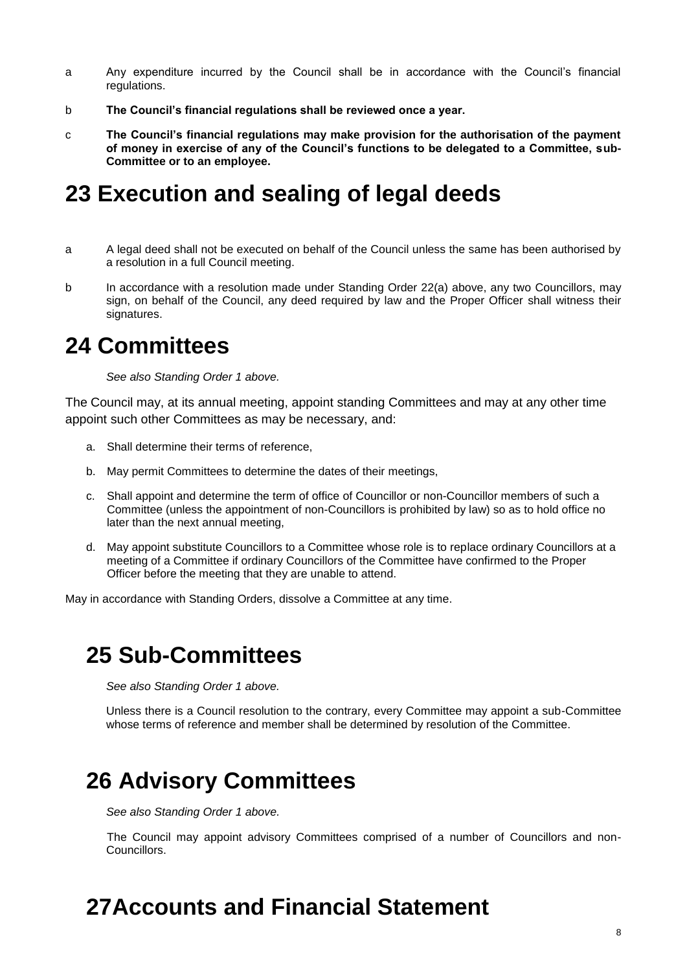- a Any expenditure incurred by the Council shall be in accordance with the Council's financial regulations.
- b **The Council's financial regulations shall be reviewed once a year.**
- c **The Council's financial regulations may make provision for the authorisation of the payment of money in exercise of any of the Council's functions to be delegated to a Committee, sub-Committee or to an employee.**

### **23 Execution and sealing of legal deeds**

- a A legal deed shall not be executed on behalf of the Council unless the same has been authorised by a resolution in a full Council meeting.
- b In accordance with a resolution made under Standing Order 22(a) above, any two Councillors, may sign, on behalf of the Council, any deed required by law and the Proper Officer shall witness their signatures.

### **24 Committees**

*See also Standing Order 1 above.*

The Council may, at its annual meeting, appoint standing Committees and may at any other time appoint such other Committees as may be necessary, and:

- a. Shall determine their terms of reference,
- b. May permit Committees to determine the dates of their meetings,
- c. Shall appoint and determine the term of office of Councillor or non-Councillor members of such a Committee (unless the appointment of non-Councillors is prohibited by law) so as to hold office no later than the next annual meeting,
- d. May appoint substitute Councillors to a Committee whose role is to replace ordinary Councillors at a meeting of a Committee if ordinary Councillors of the Committee have confirmed to the Proper Officer before the meeting that they are unable to attend.

May in accordance with Standing Orders, dissolve a Committee at any time.

## **25 Sub-Committees**

*See also Standing Order 1 above.*

Unless there is a Council resolution to the contrary, every Committee may appoint a sub-Committee whose terms of reference and member shall be determined by resolution of the Committee.

## **26 Advisory Committees**

*See also Standing Order 1 above.*

The Council may appoint advisory Committees comprised of a number of Councillors and non-Councillors.

# **27Accounts and Financial Statement**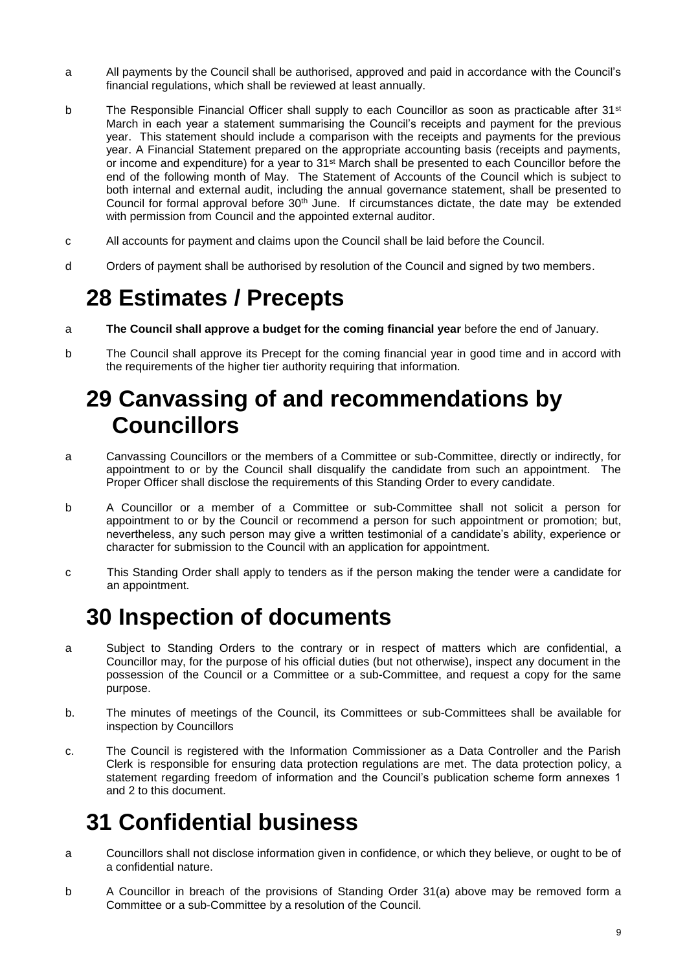- a All payments by the Council shall be authorised, approved and paid in accordance with the Council's financial regulations, which shall be reviewed at least annually.
- b The Responsible Financial Officer shall supply to each Councillor as soon as practicable after 31<sup>st</sup> March in each year a statement summarising the Council's receipts and payment for the previous year. This statement should include a comparison with the receipts and payments for the previous year. A Financial Statement prepared on the appropriate accounting basis (receipts and payments, or income and expenditure) for a year to 31st March shall be presented to each Councillor before the end of the following month of May. The Statement of Accounts of the Council which is subject to both internal and external audit, including the annual governance statement, shall be presented to Council for formal approval before 30<sup>th</sup> June. If circumstances dictate, the date may be extended with permission from Council and the appointed external auditor.
- c All accounts for payment and claims upon the Council shall be laid before the Council.
- d Orders of payment shall be authorised by resolution of the Council and signed by two members.

# **28 Estimates / Precepts**

- a **The Council shall approve a budget for the coming financial year** before the end of January.
- b The Council shall approve its Precept for the coming financial year in good time and in accord with the requirements of the higher tier authority requiring that information.

# **29 Canvassing of and recommendations by Councillors**

- a Canvassing Councillors or the members of a Committee or sub-Committee, directly or indirectly, for appointment to or by the Council shall disqualify the candidate from such an appointment. The Proper Officer shall disclose the requirements of this Standing Order to every candidate.
- b A Councillor or a member of a Committee or sub-Committee shall not solicit a person for appointment to or by the Council or recommend a person for such appointment or promotion; but, nevertheless, any such person may give a written testimonial of a candidate's ability, experience or character for submission to the Council with an application for appointment.
- c This Standing Order shall apply to tenders as if the person making the tender were a candidate for an appointment.

# **30 Inspection of documents**

- a Subject to Standing Orders to the contrary or in respect of matters which are confidential, a Councillor may, for the purpose of his official duties (but not otherwise), inspect any document in the possession of the Council or a Committee or a sub-Committee, and request a copy for the same purpose.
- b. The minutes of meetings of the Council, its Committees or sub-Committees shall be available for inspection by Councillors
- c. The Council is registered with the Information Commissioner as a Data Controller and the Parish Clerk is responsible for ensuring data protection regulations are met. The data protection policy, a statement regarding freedom of information and the Council's publication scheme form annexes 1 and 2 to this document.

# **31 Confidential business**

- a Councillors shall not disclose information given in confidence, or which they believe, or ought to be of a confidential nature.
- b A Councillor in breach of the provisions of Standing Order 31(a) above may be removed form a Committee or a sub-Committee by a resolution of the Council.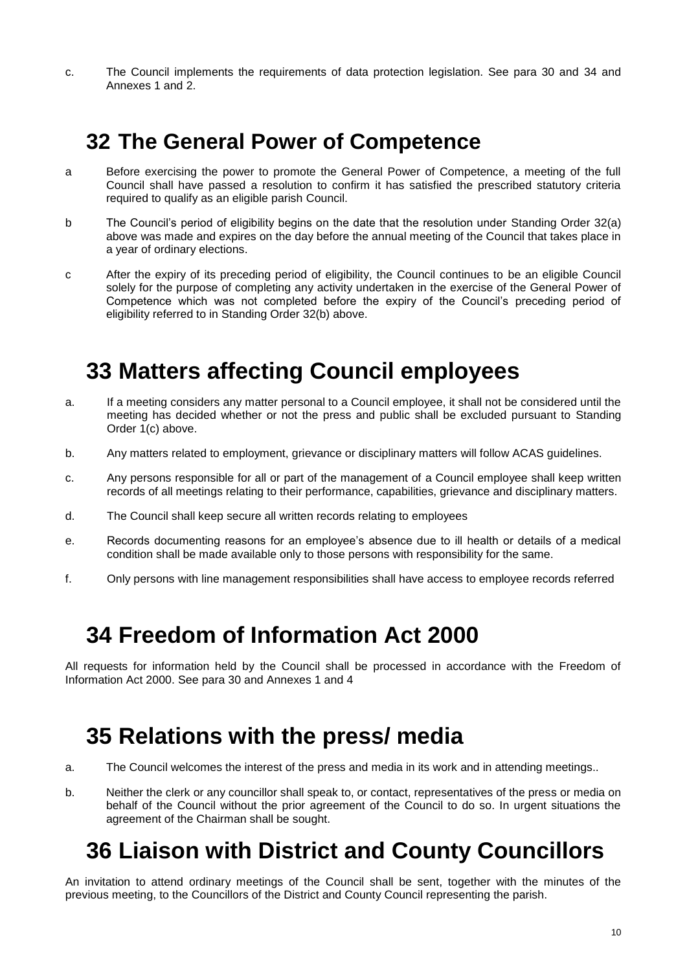c. The Council implements the requirements of data protection legislation. See para 30 and 34 and Annexes 1 and 2.

## **32 The General Power of Competence**

- a Before exercising the power to promote the General Power of Competence, a meeting of the full Council shall have passed a resolution to confirm it has satisfied the prescribed statutory criteria required to qualify as an eligible parish Council.
- b The Council's period of eligibility begins on the date that the resolution under Standing Order 32(a) above was made and expires on the day before the annual meeting of the Council that takes place in a year of ordinary elections.
- c After the expiry of its preceding period of eligibility, the Council continues to be an eligible Council solely for the purpose of completing any activity undertaken in the exercise of the General Power of Competence which was not completed before the expiry of the Council's preceding period of eligibility referred to in Standing Order 32(b) above.

# **33 Matters affecting Council employees**

- a. If a meeting considers any matter personal to a Council employee, it shall not be considered until the meeting has decided whether or not the press and public shall be excluded pursuant to Standing Order  $1(c)$  above.
- b. Any matters related to employment, grievance or disciplinary matters will follow ACAS guidelines.
- c. Any persons responsible for all or part of the management of a Council employee shall keep written records of all meetings relating to their performance, capabilities, grievance and disciplinary matters.
- d. The Council shall keep secure all written records relating to employees
- e. Records documenting reasons for an employee's absence due to ill health or details of a medical condition shall be made available only to those persons with responsibility for the same.
- f. Only persons with line management responsibilities shall have access to employee records referred

## **34 Freedom of Information Act 2000**

All requests for information held by the Council shall be processed in accordance with the Freedom of Information Act 2000. See para 30 and Annexes 1 and 4

## **35 Relations with the press/ media**

- a. The Council welcomes the interest of the press and media in its work and in attending meetings..
- b. Neither the clerk or any councillor shall speak to, or contact, representatives of the press or media on behalf of the Council without the prior agreement of the Council to do so. In urgent situations the agreement of the Chairman shall be sought.

# **36 Liaison with District and County Councillors**

An invitation to attend ordinary meetings of the Council shall be sent, together with the minutes of the previous meeting, to the Councillors of the District and County Council representing the parish.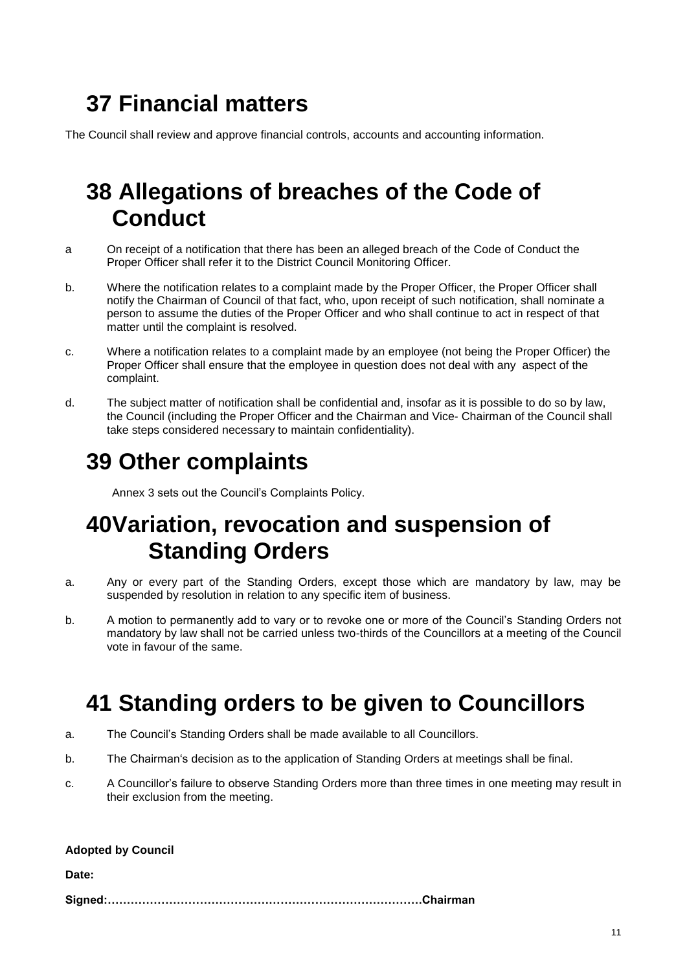# **37 Financial matters**

The Council shall review and approve financial controls, accounts and accounting information.

## **38 Allegations of breaches of the Code of Conduct**

- a On receipt of a notification that there has been an alleged breach of the Code of Conduct the Proper Officer shall refer it to the District Council Monitoring Officer.
- b. Where the notification relates to a complaint made by the Proper Officer, the Proper Officer shall notify the Chairman of Council of that fact, who, upon receipt of such notification, shall nominate a person to assume the duties of the Proper Officer and who shall continue to act in respect of that matter until the complaint is resolved.
- c. Where a notification relates to a complaint made by an employee (not being the Proper Officer) the Proper Officer shall ensure that the employee in question does not deal with any aspect of the complaint.
- d. The subject matter of notification shall be confidential and, insofar as it is possible to do so by law, the Council (including the Proper Officer and the Chairman and Vice- Chairman of the Council shall take steps considered necessary to maintain confidentiality).

# **39 Other complaints**

Annex 3 sets out the Council's Complaints Policy.

## **40Variation, revocation and suspension of Standing Orders**

- a. Any or every part of the Standing Orders, except those which are mandatory by law, may be suspended by resolution in relation to any specific item of business.
- b. A motion to permanently add to vary or to revoke one or more of the Council's Standing Orders not mandatory by law shall not be carried unless two-thirds of the Councillors at a meeting of the Council vote in favour of the same.

# **41 Standing orders to be given to Councillors**

- a. The Council's Standing Orders shall be made available to all Councillors.
- b. The Chairman's decision as to the application of Standing Orders at meetings shall be final.
- c. A Councillor's failure to observe Standing Orders more than three times in one meeting may result in their exclusion from the meeting.

#### **Adopted by Council**

**Date:**

**Signed:……………………………………………………………………….Chairman**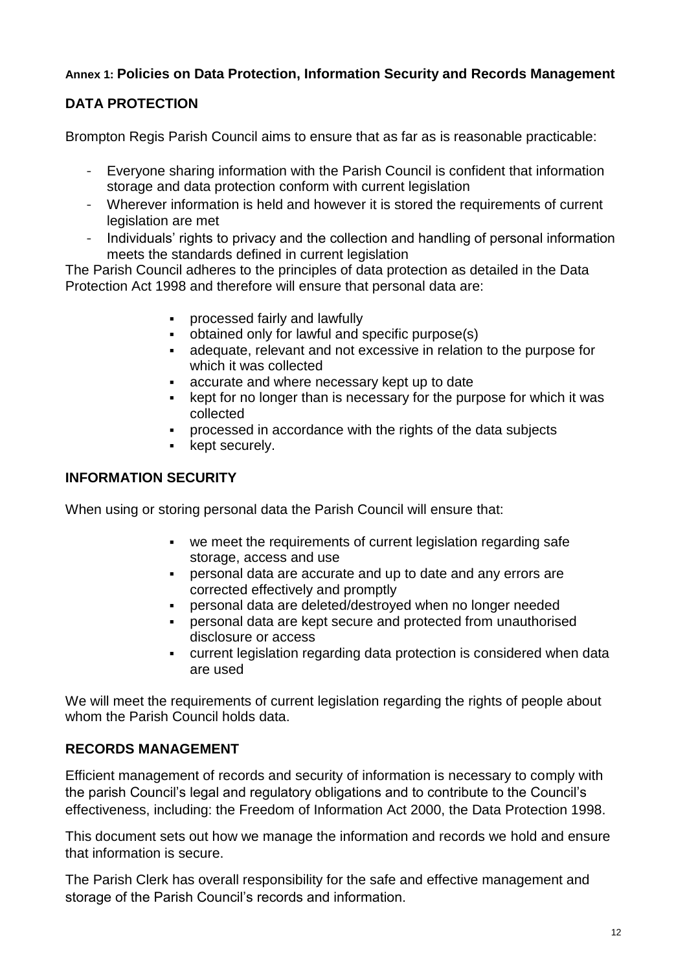### **Annex 1: Policies on Data Protection, Information Security and Records Management**

### **DATA PROTECTION**

Brompton Regis Parish Council aims to ensure that as far as is reasonable practicable:

- Everyone sharing information with the Parish Council is confident that information storage and data protection conform with current legislation
- Wherever information is held and however it is stored the requirements of current legislation are met
- Individuals' rights to privacy and the collection and handling of personal information meets the standards defined in current legislation

The Parish Council adheres to the principles of data protection as detailed in the Data Protection Act 1998 and therefore will ensure that personal data are:

- processed fairly and lawfully
- obtained only for lawful and specific purpose(s)
- adequate, relevant and not excessive in relation to the purpose for which it was collected
- accurate and where necessary kept up to date
- kept for no longer than is necessary for the purpose for which it was collected
- processed in accordance with the rights of the data subjects
- kept securely.

### **INFORMATION SECURITY**

When using or storing personal data the Parish Council will ensure that:

- we meet the requirements of current legislation regarding safe storage, access and use
- personal data are accurate and up to date and any errors are corrected effectively and promptly
- personal data are deleted/destroyed when no longer needed
- personal data are kept secure and protected from unauthorised disclosure or access
- current legislation regarding data protection is considered when data are used

We will meet the requirements of current legislation regarding the rights of people about whom the Parish Council holds data.

### **RECORDS MANAGEMENT**

Efficient management of records and security of information is necessary to comply with the parish Council's legal and regulatory obligations and to contribute to the Council's effectiveness, including: the Freedom of Information Act 2000, the Data Protection 1998.

This document sets out how we manage the information and records we hold and ensure that information is secure.

The Parish Clerk has overall responsibility for the safe and effective management and storage of the Parish Council's records and information.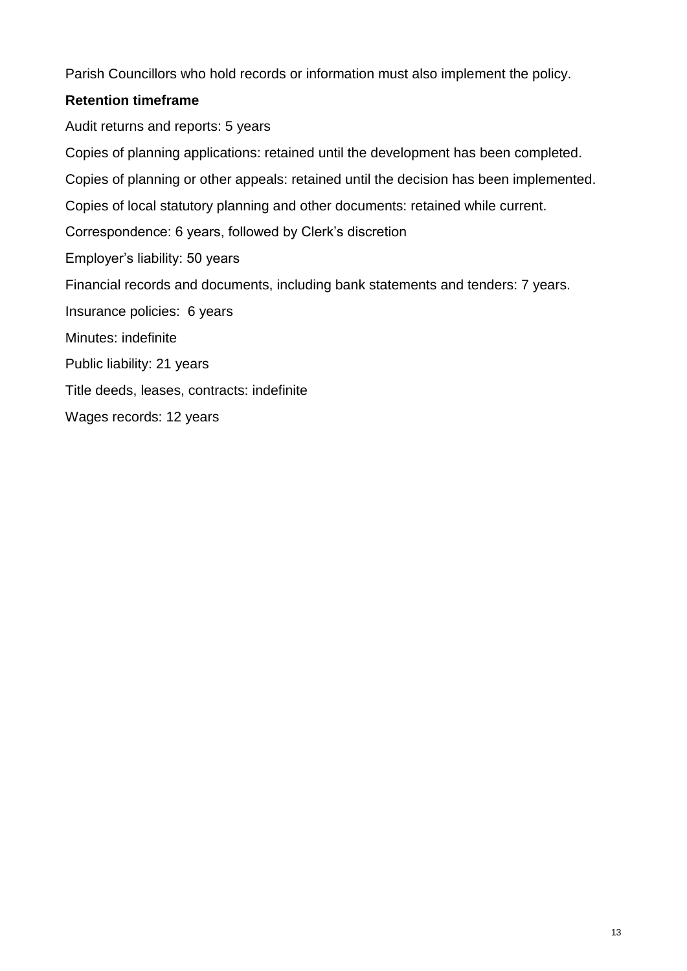Parish Councillors who hold records or information must also implement the policy.

### **Retention timeframe**

Audit returns and reports: 5 years Copies of planning applications: retained until the development has been completed. Copies of planning or other appeals: retained until the decision has been implemented. Copies of local statutory planning and other documents: retained while current. Correspondence: 6 years, followed by Clerk's discretion Employer's liability: 50 years Financial records and documents, including bank statements and tenders: 7 years. Insurance policies: 6 years Minutes: indefinite Public liability: 21 years Title deeds, leases, contracts: indefinite Wages records: 12 years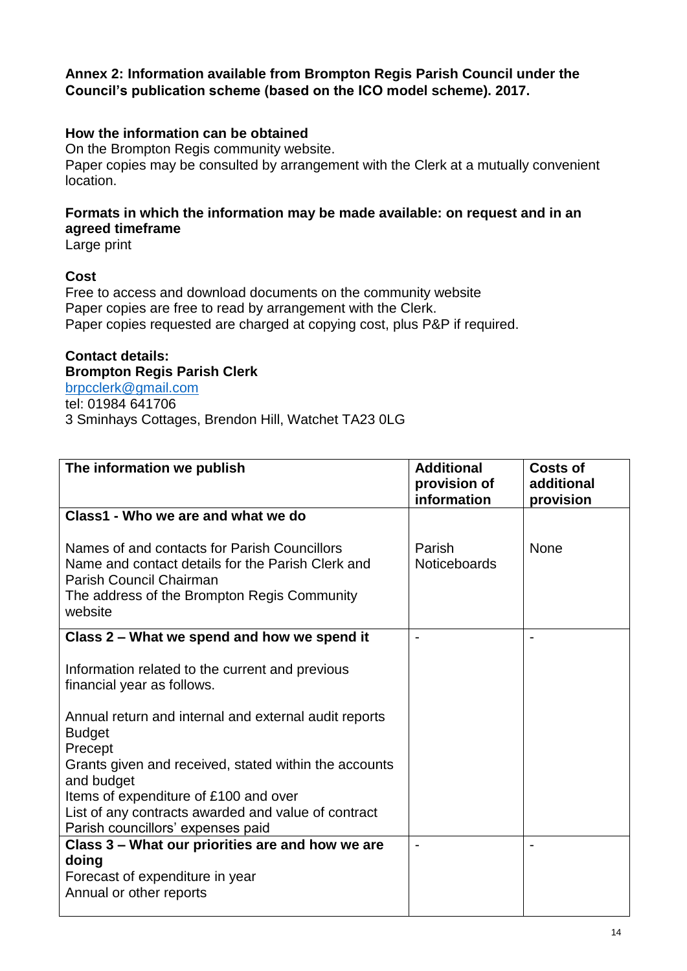### **Annex 2: Information available from Brompton Regis Parish Council under the Council's publication scheme (based on the ICO model scheme). 2017.**

### **How the information can be obtained**

On the Brompton Regis community website. Paper copies may be consulted by arrangement with the Clerk at a mutually convenient location.

### **Formats in which the information may be made available: on request and in an agreed timeframe**

Large print

#### **Cost**

Free to access and download documents on the community website Paper copies are free to read by arrangement with the Clerk. Paper copies requested are charged at copying cost, plus P&P if required.

### **Contact details: Brompton Regis Parish Clerk**

[brpcclerk@gmail.com](mailto:brpcclerk@gmail.com) tel: 01984 641706 3 Sminhays Cottages, Brendon Hill, Watchet TA23 0LG

| The information we publish                                                                                                                                                             | <b>Additional</b><br>provision of<br>information | <b>Costs of</b><br>additional<br>provision |
|----------------------------------------------------------------------------------------------------------------------------------------------------------------------------------------|--------------------------------------------------|--------------------------------------------|
| Class1 - Who we are and what we do                                                                                                                                                     |                                                  |                                            |
| Names of and contacts for Parish Councillors<br>Name and contact details for the Parish Clerk and<br>Parish Council Chairman<br>The address of the Brompton Regis Community<br>website | Parish<br><b>Noticeboards</b>                    | None                                       |
| Class 2 – What we spend and how we spend it                                                                                                                                            |                                                  |                                            |
| Information related to the current and previous<br>financial year as follows.                                                                                                          |                                                  |                                            |
| Annual return and internal and external audit reports<br><b>Budget</b><br>Precept                                                                                                      |                                                  |                                            |
| Grants given and received, stated within the accounts<br>and budget                                                                                                                    |                                                  |                                            |
| Items of expenditure of £100 and over                                                                                                                                                  |                                                  |                                            |
| List of any contracts awarded and value of contract<br>Parish councillors' expenses paid                                                                                               |                                                  |                                            |
| Class 3 – What our priorities are and how we are                                                                                                                                       |                                                  |                                            |
| doing                                                                                                                                                                                  |                                                  |                                            |
| Forecast of expenditure in year<br>Annual or other reports                                                                                                                             |                                                  |                                            |
|                                                                                                                                                                                        |                                                  |                                            |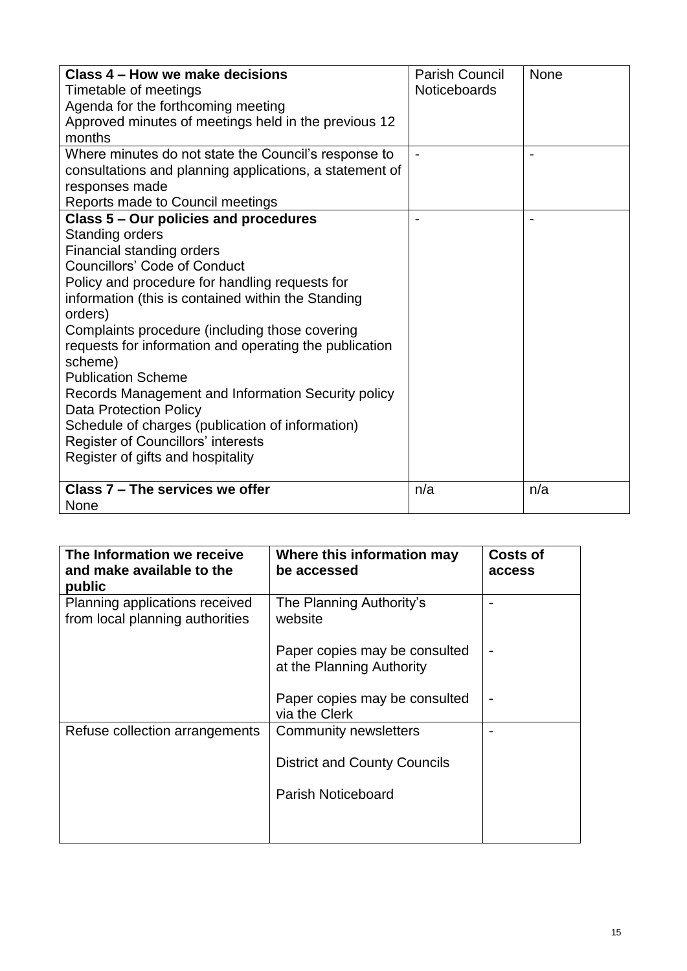| Class 4 – How we make decisions<br>Timetable of meetings<br>Agenda for the forthcoming meeting<br>Approved minutes of meetings held in the previous 12 | <b>Parish Council</b><br><b>Noticeboards</b> | <b>None</b> |
|--------------------------------------------------------------------------------------------------------------------------------------------------------|----------------------------------------------|-------------|
| months<br>Where minutes do not state the Council's response to                                                                                         |                                              |             |
| consultations and planning applications, a statement of                                                                                                |                                              |             |
| responses made                                                                                                                                         |                                              |             |
| Reports made to Council meetings                                                                                                                       |                                              |             |
| Class 5 – Our policies and procedures                                                                                                                  |                                              |             |
| Standing orders                                                                                                                                        |                                              |             |
| Financial standing orders                                                                                                                              |                                              |             |
| <b>Councillors' Code of Conduct</b>                                                                                                                    |                                              |             |
| Policy and procedure for handling requests for                                                                                                         |                                              |             |
| information (this is contained within the Standing                                                                                                     |                                              |             |
| orders)                                                                                                                                                |                                              |             |
| Complaints procedure (including those covering                                                                                                         |                                              |             |
| requests for information and operating the publication<br>scheme)                                                                                      |                                              |             |
| <b>Publication Scheme</b>                                                                                                                              |                                              |             |
| Records Management and Information Security policy<br><b>Data Protection Policy</b>                                                                    |                                              |             |
| Schedule of charges (publication of information)                                                                                                       |                                              |             |
| Register of Councillors' interests                                                                                                                     |                                              |             |
| Register of gifts and hospitality                                                                                                                      |                                              |             |
| Class 7 - The services we offer                                                                                                                        | n/a                                          | n/a         |
| None                                                                                                                                                   |                                              |             |

| The Information we receive<br>and make available to the<br>public | Where this information may<br>be accessed                  | <b>Costs of</b><br>access |
|-------------------------------------------------------------------|------------------------------------------------------------|---------------------------|
| Planning applications received<br>from local planning authorities | The Planning Authority's<br>website                        |                           |
|                                                                   | Paper copies may be consulted<br>at the Planning Authority |                           |
|                                                                   | Paper copies may be consulted<br>via the Clerk             |                           |
| Refuse collection arrangements                                    | <b>Community newsletters</b>                               |                           |
|                                                                   | <b>District and County Councils</b>                        |                           |
|                                                                   | <b>Parish Noticeboard</b>                                  |                           |
|                                                                   |                                                            |                           |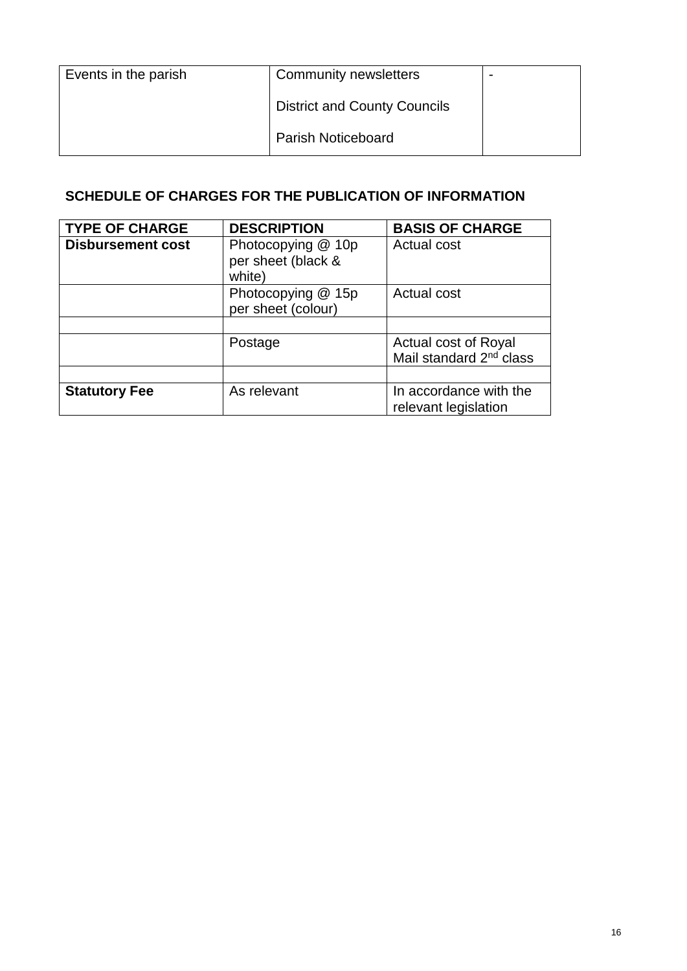| Events in the parish | Community newsletters               | $\overline{\phantom{0}}$ |
|----------------------|-------------------------------------|--------------------------|
|                      | <b>District and County Councils</b> |                          |
|                      | <b>Parish Noticeboard</b>           |                          |

### **SCHEDULE OF CHARGES FOR THE PUBLICATION OF INFORMATION**

| <b>TYPE OF CHARGE</b>    | <b>DESCRIPTION</b>                                 | <b>BASIS OF CHARGE</b>                                      |
|--------------------------|----------------------------------------------------|-------------------------------------------------------------|
| <b>Disbursement cost</b> | Photocopying @ 10p<br>per sheet (black &<br>white) | Actual cost                                                 |
|                          | Photocopying @ 15p<br>per sheet (colour)           | Actual cost                                                 |
|                          |                                                    |                                                             |
|                          | Postage                                            | Actual cost of Royal<br>Mail standard 2 <sup>nd</sup> class |
|                          |                                                    |                                                             |
| <b>Statutory Fee</b>     | As relevant                                        | In accordance with the<br>relevant legislation              |